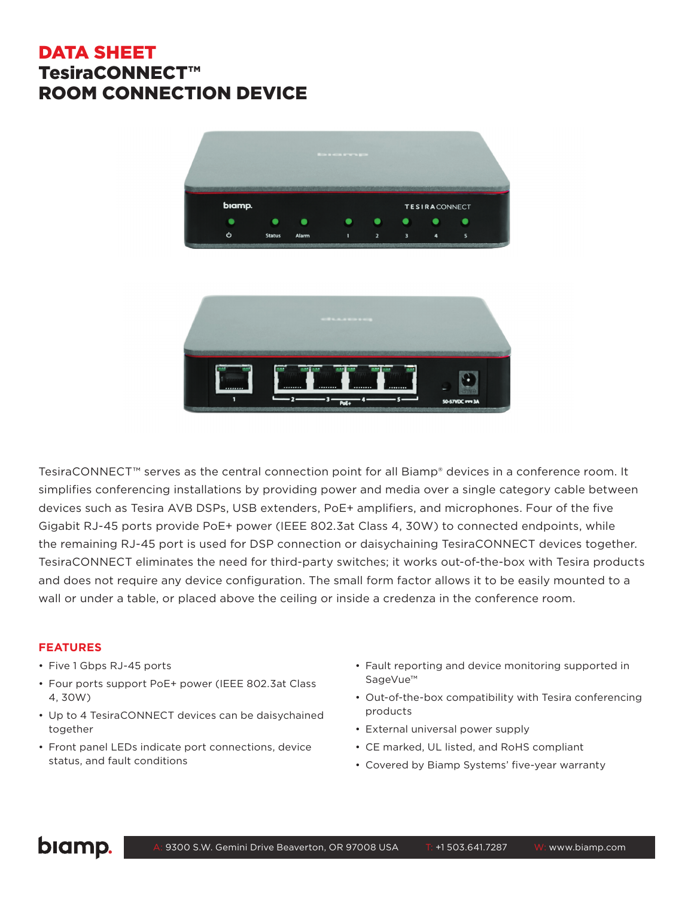## DATA SHEET TesiraCONNECT™ ROOM CONNECTION DEVICE





TesiraCONNECT™ serves as the central connection point for all Biamp® devices in a conference room. It simplifies conferencing installations by providing power and media over a single category cable between devices such as Tesira AVB DSPs, USB extenders, PoE+ amplifiers, and microphones. Four of the five Gigabit RJ-45 ports provide PoE+ power (IEEE 802.3at Class 4, 30W) to connected endpoints, while the remaining RJ-45 port is used for DSP connection or daisychaining TesiraCONNECT devices together. TesiraCONNECT eliminates the need for third-party switches; it works out-of-the-box with Tesira products and does not require any device configuration. The small form factor allows it to be easily mounted to a wall or under a table, or placed above the ceiling or inside a credenza in the conference room.

## **FEATURES**

- Five 1 Gbps RJ-45 ports
- Four ports support PoE+ power (IEEE 802.3at Class 4, 30W)
- Up to 4 TesiraCONNECT devices can be daisychained together
- Front panel LEDs indicate port connections, device status, and fault conditions
- Fault reporting and device monitoring supported in SageVue™
- Out-of-the-box compatibility with Tesira conferencing products
- External universal power supply
- CE marked, UL listed, and RoHS compliant
- Covered by Biamp Systems' five-year warranty